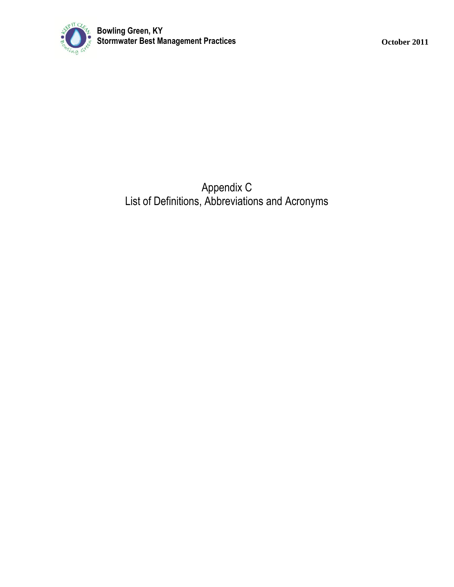

Appendix C List of Definitions, Abbreviations and Acronyms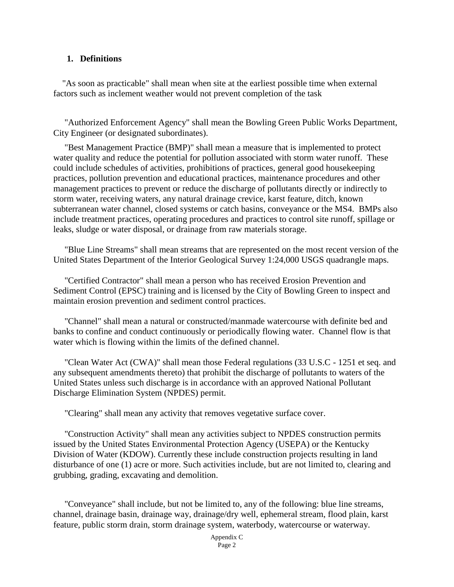## **1. Definitions**

 "As soon as practicable" shall mean when site at the earliest possible time when external factors such as inclement weather would not prevent completion of the task

 "Authorized Enforcement Agency" shall mean the Bowling Green Public Works Department, City Engineer (or designated subordinates).

"Best Management Practice (BMP)" shall mean a measure that is implemented to protect water quality and reduce the potential for pollution associated with storm water runoff. These could include schedules of activities, prohibitions of practices, general good housekeeping practices, pollution prevention and educational practices, maintenance procedures and other management practices to prevent or reduce the discharge of pollutants directly or indirectly to storm water, receiving waters, any natural drainage crevice, karst feature, ditch, known subterranean water channel, closed systems or catch basins, conveyance or the MS4. BMPs also include treatment practices, operating procedures and practices to control site runoff, spillage or leaks, sludge or water disposal, or drainage from raw materials storage.

"Blue Line Streams" shall mean streams that are represented on the most recent version of the United States Department of the Interior Geological Survey 1:24,000 USGS quadrangle maps.

"Certified Contractor" shall mean a person who has received Erosion Prevention and Sediment Control (EPSC) training and is licensed by the City of Bowling Green to inspect and maintain erosion prevention and sediment control practices.

"Channel" shall mean a natural or constructed/manmade watercourse with definite bed and banks to confine and conduct continuously or periodically flowing water. Channel flow is that water which is flowing within the limits of the defined channel.

"Clean Water Act (CWA)" shall mean those Federal regulations (33 U.S.C - 1251 et seq. and any subsequent amendments thereto) that prohibit the discharge of pollutants to waters of the United States unless such discharge is in accordance with an approved National Pollutant Discharge Elimination System (NPDES) permit.

"Clearing" shall mean any activity that removes vegetative surface cover.

"Construction Activity" shall mean any activities subject to NPDES construction permits issued by the United States Environmental Protection Agency (USEPA) or the Kentucky Division of Water (KDOW). Currently these include construction projects resulting in land disturbance of one (1) acre or more. Such activities include, but are not limited to, clearing and grubbing, grading, excavating and demolition.

"Conveyance" shall include, but not be limited to, any of the following: blue line streams, channel, drainage basin, drainage way, drainage/dry well, ephemeral stream, flood plain, karst feature, public storm drain, storm drainage system, waterbody, watercourse or waterway.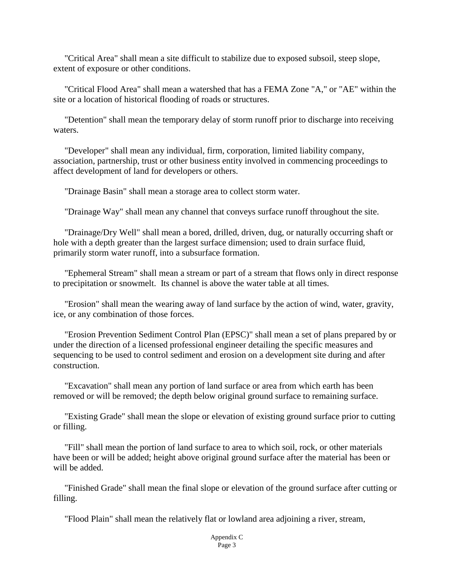"Critical Area" shall mean a site difficult to stabilize due to exposed subsoil, steep slope, extent of exposure or other conditions.

"Critical Flood Area" shall mean a watershed that has a FEMA Zone "A," or "AE" within the site or a location of historical flooding of roads or structures.

"Detention" shall mean the temporary delay of storm runoff prior to discharge into receiving waters.

"Developer" shall mean any individual, firm, corporation, limited liability company, association, partnership, trust or other business entity involved in commencing proceedings to affect development of land for developers or others.

"Drainage Basin" shall mean a storage area to collect storm water.

"Drainage Way" shall mean any channel that conveys surface runoff throughout the site.

"Drainage/Dry Well" shall mean a bored, drilled, driven, dug, or naturally occurring shaft or hole with a depth greater than the largest surface dimension; used to drain surface fluid, primarily storm water runoff, into a subsurface formation.

"Ephemeral Stream" shall mean a stream or part of a stream that flows only in direct response to precipitation or snowmelt. Its channel is above the water table at all times.

"Erosion" shall mean the wearing away of land surface by the action of wind, water, gravity, ice, or any combination of those forces.

"Erosion Prevention Sediment Control Plan (EPSC)" shall mean a set of plans prepared by or under the direction of a licensed professional engineer detailing the specific measures and sequencing to be used to control sediment and erosion on a development site during and after construction.

"Excavation" shall mean any portion of land surface or area from which earth has been removed or will be removed; the depth below original ground surface to remaining surface.

"Existing Grade" shall mean the slope or elevation of existing ground surface prior to cutting or filling.

"Fill" shall mean the portion of land surface to area to which soil, rock, or other materials have been or will be added; height above original ground surface after the material has been or will be added.

"Finished Grade" shall mean the final slope or elevation of the ground surface after cutting or filling.

"Flood Plain" shall mean the relatively flat or lowland area adjoining a river, stream,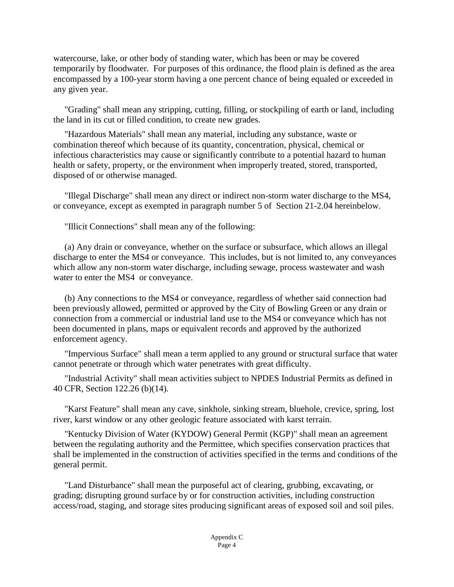watercourse, lake, or other body of standing water, which has been or may be covered temporarily by floodwater. For purposes of this ordinance, the flood plain is defined as the area encompassed by a 100-year storm having a one percent chance of being equaled or exceeded in any given year.

"Grading" shall mean any stripping, cutting, filling, or stockpiling of earth or land, including the land in its cut or filled condition, to create new grades.

"Hazardous Materials" shall mean any material, including any substance, waste or combination thereof which because of its quantity, concentration, physical, chemical or infectious characteristics may cause or significantly contribute to a potential hazard to human health or safety, property, or the environment when improperly treated, stored, transported, disposed of or otherwise managed.

"Illegal Discharge" shall mean any direct or indirect non-storm water discharge to the MS4, or conveyance, except as exempted in paragraph number 5 of Section 21-2.04 hereinbelow.

"Illicit Connections" shall mean any of the following:

(a) Any drain or conveyance, whether on the surface or subsurface, which allows an illegal discharge to enter the MS4 or conveyance. This includes, but is not limited to, any conveyances which allow any non-storm water discharge, including sewage, process wastewater and wash water to enter the MS4 or conveyance.

(b) Any connections to the MS4 or conveyance, regardless of whether said connection had been previously allowed, permitted or approved by the City of Bowling Green or any drain or connection from a commercial or industrial land use to the MS4 or conveyance which has not been documented in plans, maps or equivalent records and approved by the authorized enforcement agency.

"Impervious Surface" shall mean a term applied to any ground or structural surface that water cannot penetrate or through which water penetrates with great difficulty.

"Industrial Activity" shall mean activities subject to NPDES Industrial Permits as defined in 40 CFR, Section 122.26 (b)(14).

"Karst Feature" shall mean any cave, sinkhole, sinking stream, bluehole, crevice, spring, lost river, karst window or any other geologic feature associated with karst terrain.

"Kentucky Division of Water (KYDOW) General Permit (KGP)" shall mean an agreement between the regulating authority and the Permittee, which specifies conservation practices that shall be implemented in the construction of activities specified in the terms and conditions of the general permit.

"Land Disturbance" shall mean the purposeful act of clearing, grubbing, excavating, or grading; disrupting ground surface by or for construction activities, including construction access/road, staging, and storage sites producing significant areas of exposed soil and soil piles.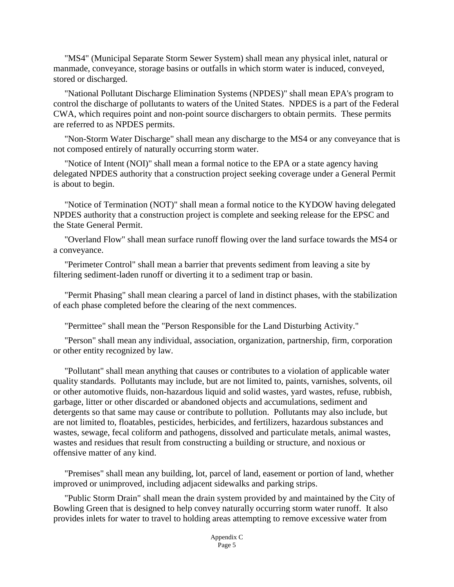"MS4" (Municipal Separate Storm Sewer System) shall mean any physical inlet, natural or manmade, conveyance, storage basins or outfalls in which storm water is induced, conveyed, stored or discharged.

"National Pollutant Discharge Elimination Systems (NPDES)" shall mean EPA's program to control the discharge of pollutants to waters of the United States. NPDES is a part of the Federal CWA, which requires point and non-point source dischargers to obtain permits. These permits are referred to as NPDES permits.

"Non-Storm Water Discharge" shall mean any discharge to the MS4 or any conveyance that is not composed entirely of naturally occurring storm water.

"Notice of Intent (NOI)" shall mean a formal notice to the EPA or a state agency having delegated NPDES authority that a construction project seeking coverage under a General Permit is about to begin.

"Notice of Termination (NOT)" shall mean a formal notice to the KYDOW having delegated NPDES authority that a construction project is complete and seeking release for the EPSC and the State General Permit.

"Overland Flow" shall mean surface runoff flowing over the land surface towards the MS4 or a conveyance.

"Perimeter Control" shall mean a barrier that prevents sediment from leaving a site by filtering sediment-laden runoff or diverting it to a sediment trap or basin.

"Permit Phasing" shall mean clearing a parcel of land in distinct phases, with the stabilization of each phase completed before the clearing of the next commences.

"Permittee" shall mean the "Person Responsible for the Land Disturbing Activity."

"Person" shall mean any individual, association, organization, partnership, firm, corporation or other entity recognized by law.

"Pollutant" shall mean anything that causes or contributes to a violation of applicable water quality standards. Pollutants may include, but are not limited to, paints, varnishes, solvents, oil or other automotive fluids, non-hazardous liquid and solid wastes, yard wastes, refuse, rubbish, garbage, litter or other discarded or abandoned objects and accumulations, sediment and detergents so that same may cause or contribute to pollution. Pollutants may also include, but are not limited to, floatables, pesticides, herbicides, and fertilizers, hazardous substances and wastes, sewage, fecal coliform and pathogens, dissolved and particulate metals, animal wastes, wastes and residues that result from constructing a building or structure, and noxious or offensive matter of any kind.

"Premises" shall mean any building, lot, parcel of land, easement or portion of land, whether improved or unimproved, including adjacent sidewalks and parking strips.

"Public Storm Drain" shall mean the drain system provided by and maintained by the City of Bowling Green that is designed to help convey naturally occurring storm water runoff. It also provides inlets for water to travel to holding areas attempting to remove excessive water from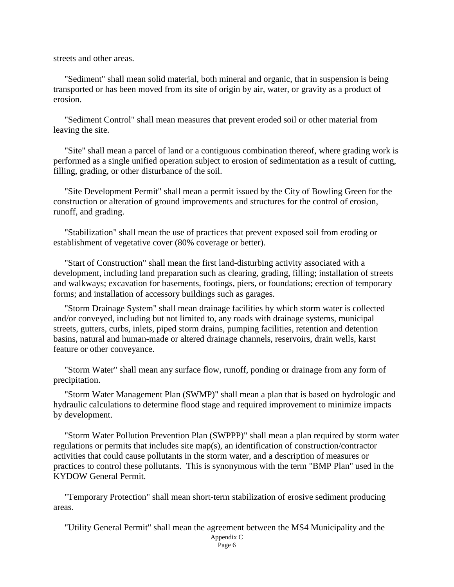streets and other areas.

"Sediment" shall mean solid material, both mineral and organic, that in suspension is being transported or has been moved from its site of origin by air, water, or gravity as a product of erosion.

"Sediment Control" shall mean measures that prevent eroded soil or other material from leaving the site.

"Site" shall mean a parcel of land or a contiguous combination thereof, where grading work is performed as a single unified operation subject to erosion of sedimentation as a result of cutting, filling, grading, or other disturbance of the soil.

"Site Development Permit" shall mean a permit issued by the City of Bowling Green for the construction or alteration of ground improvements and structures for the control of erosion, runoff, and grading.

"Stabilization" shall mean the use of practices that prevent exposed soil from eroding or establishment of vegetative cover (80% coverage or better).

"Start of Construction" shall mean the first land-disturbing activity associated with a development, including land preparation such as clearing, grading, filling; installation of streets and walkways; excavation for basements, footings, piers, or foundations; erection of temporary forms; and installation of accessory buildings such as garages.

"Storm Drainage System" shall mean drainage facilities by which storm water is collected and/or conveyed, including but not limited to, any roads with drainage systems, municipal streets, gutters, curbs, inlets, piped storm drains, pumping facilities, retention and detention basins, natural and human-made or altered drainage channels, reservoirs, drain wells, karst feature or other conveyance.

"Storm Water" shall mean any surface flow, runoff, ponding or drainage from any form of precipitation.

"Storm Water Management Plan (SWMP)" shall mean a plan that is based on hydrologic and hydraulic calculations to determine flood stage and required improvement to minimize impacts by development.

"Storm Water Pollution Prevention Plan (SWPPP)" shall mean a plan required by storm water regulations or permits that includes site map(s), an identification of construction/contractor activities that could cause pollutants in the storm water, and a description of measures or practices to control these pollutants. This is synonymous with the term "BMP Plan" used in the KYDOW General Permit.

"Temporary Protection" shall mean short-term stabilization of erosive sediment producing areas.

"Utility General Permit" shall mean the agreement between the MS4 Municipality and the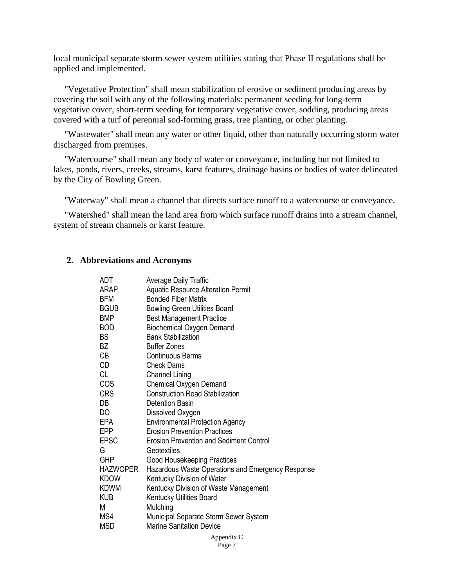local municipal separate storm sewer system utilities stating that Phase II regulations shall be applied and implemented.

"Vegetative Protection" shall mean stabilization of erosive or sediment producing areas by covering the soil with any of the following materials: permanent seeding for long-term vegetative cover, short-term seeding for temporary vegetative cover, sodding, producing areas covered with a turf of perennial sod-forming grass, tree planting, or other planting.

"Wastewater" shall mean any water or other liquid, other than naturally occurring storm water discharged from premises.

"Watercourse" shall mean any body of water or conveyance, including but not limited to lakes, ponds, rivers, creeks, streams, karst features, drainage basins or bodies of water delineated by the City of Bowling Green.

"Waterway" shall mean a channel that directs surface runoff to a watercourse or conveyance.

"Watershed" shall mean the land area from which surface runoff drains into a stream channel, system of stream channels or karst feature.

## **2. Abbreviations and Acronyms**

| ADT         | Average Daily Traffic                             |
|-------------|---------------------------------------------------|
| ARAP        | <b>Aquatic Resource Alteration Permit</b>         |
| <b>BFM</b>  | <b>Bonded Fiber Matrix</b>                        |
| <b>BGUB</b> | <b>Bowling Green Utilities Board</b>              |
| <b>BMP</b>  | <b>Best Management Practice</b>                   |
| BOD         | <b>Biochemical Oxygen Demand</b>                  |
| BS          | <b>Bank Stabilization</b>                         |
| BZ          | <b>Buffer Zones</b>                               |
| СB          | Continuous Berms                                  |
| CD          | <b>Check Dams</b>                                 |
| CL          | <b>Channel Lining</b>                             |
| COS I       | <b>Chemical Oxygen Demand</b>                     |
| CRS         | <b>Construction Road Stabilization</b>            |
| DB          | Detention Basin                                   |
| DO          | Dissolved Oxygen                                  |
| EPA         | <b>Environmental Protection Agency</b>            |
| EPP         | <b>Erosion Prevention Practices</b>               |
| <b>EPSC</b> | <b>Erosion Prevention and Sediment Control</b>    |
| G           | Geotextiles                                       |
| <b>GHP</b>  | Good Housekeeping Practices                       |
| HAZWOPER    | Hazardous Waste Operations and Emergency Response |
| <b>KDOW</b> | Kentucky Division of Water                        |
| <b>KDWM</b> | Kentucky Division of Waste Management             |
| <b>KUB</b>  | Kentucky Utilities Board                          |
| М           | Mulching                                          |
| MS4         | Municipal Separate Storm Sewer System             |
| <b>MSD</b>  | <b>Marine Sanitation Device</b>                   |
|             |                                                   |